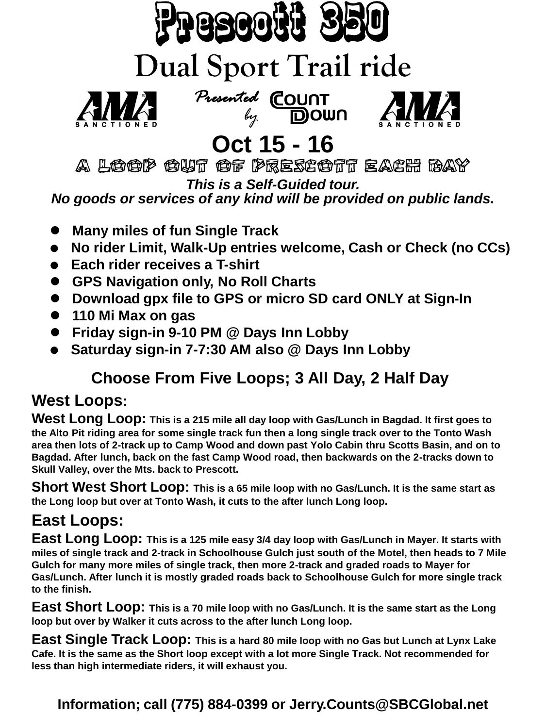

# **Dual Sport Trail ride**



*Presented* **COUNT**<br>by **DOWN** 



**Oct 15 - 16**

A Loop out of Prescott Each Day

*This is a Self-Guided tour.*

*No goods or services of any kind will be provided on public lands.*

- **Many miles of fun Single Track**
- **No rider Limit, Walk-Up entries welcome, Cash or Check (no CCs)**
- **Each rider receives a T-shirt**
- **GPS Navigation only, No Roll Charts**
- **Download gpx file to GPS or micro SD card ONLY at Sign-In**
- **110 Mi Max on gas**
- **Friday sign-in 9-10 PM @ Days Inn Lobby**
- **Saturday sign-in 7-7:30 AM also @ Days Inn Lobby**

#### **Choose From Five Loops; 3 All Day, 2 Half Day**

#### **West Loops:**

**West Long Loop: This is a 215 mile all day loop with Gas/Lunch in Bagdad. It first goes to the Alto Pit riding area for some single track fun then a long single track over to the Tonto Wash area then lots of 2-track up to Camp Wood and down past Yolo Cabin thru Scotts Basin, and on to Bagdad. After lunch, back on the fast Camp Wood road, then backwards on the 2-tracks down to Skull Valley, over the Mts. back to Prescott.**

**Short West Short Loop: This is a 65 mile loop with no Gas/Lunch. It is the same start as the Long loop but over at Tonto Wash, it cuts to the after lunch Long loop.** 

### **East Loops:**

**East Long Loop: This is a 125 mile easy 3/4 day loop with Gas/Lunch in Mayer. It starts with miles of single track and 2-track in Schoolhouse Gulch just south of the Motel, then heads to 7 Mile Gulch for many more miles of single track, then more 2-track and graded roads to Mayer for Gas/Lunch. After lunch it is mostly graded roads back to Schoolhouse Gulch for more single track to the finish.**

**East Short Loop: This is a 70 mile loop with no Gas/Lunch. It is the same start as the Long loop but over by Walker it cuts across to the after lunch Long loop.**

**East Single Track Loop: This is a hard 80 mile loop with no Gas but Lunch at Lynx Lake Cafe. It is the same as the Short loop except with a lot more Single Track. Not recommended for less than high intermediate riders, it will exhaust you.**